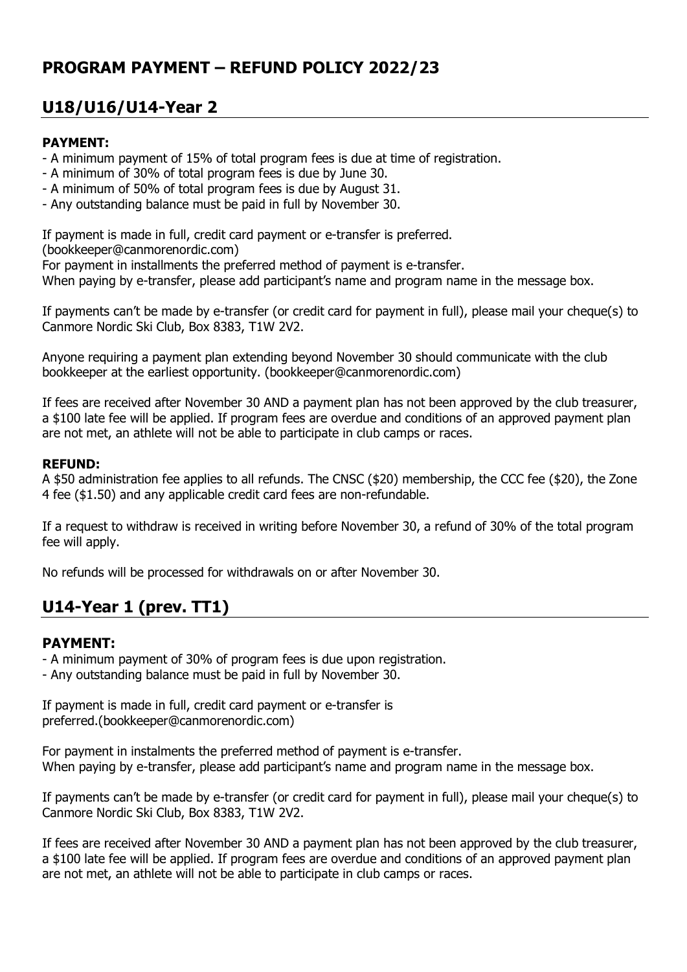## **PROGRAM PAYMENT – REFUND POLICY 2022/23**

# **U18/U16/U14-Year 2**

### **PAYMENT:**

- A minimum payment of 15% of total program fees is due at time of registration.
- A minimum of 30% of total program fees is due by June 30.
- A minimum of 50% of total program fees is due by August 31.
- Any outstanding balance must be paid in full by November 30.

If payment is made in full, credit card payment or e-transfer is preferred.

(bookkeeper@canmorenordic.com)

For payment in installments the preferred method of payment is e-transfer.

When paying by e-transfer, please add participant's name and program name in the message box.

If payments can't be made by e-transfer (or credit card for payment in full), please mail your cheque(s) to Canmore Nordic Ski Club, Box 8383, T1W 2V2.

Anyone requiring a payment plan extending beyond November 30 should communicate with the club bookkeeper at the earliest opportunity. (bookkeeper@canmorenordic.com)

If fees are received after November 30 AND a payment plan has not been approved by the club treasurer, a \$100 late fee will be applied. If program fees are overdue and conditions of an approved payment plan are not met, an athlete will not be able to participate in club camps or races.

#### **REFUND:**

A \$50 administration fee applies to all refunds. The CNSC (\$20) membership, the CCC fee (\$20), the Zone 4 fee (\$1.50) and any applicable credit card fees are non-refundable.

If a request to withdraw is received in writing before November 30, a refund of 30% of the total program fee will apply.

No refunds will be processed for withdrawals on or after November 30.

# **U14-Year 1 (prev. TT1)**

### **PAYMENT:**

- A minimum payment of 30% of program fees is due upon registration.

- Any outstanding balance must be paid in full by November 30.

If payment is made in full, credit card payment or e-transfer is preferred.(bookkeeper@canmorenordic.com)

For payment in instalments the preferred method of payment is e-transfer. When paying by e-transfer, please add participant's name and program name in the message box.

If payments can't be made by e-transfer (or credit card for payment in full), please mail your cheque(s) to Canmore Nordic Ski Club, Box 8383, T1W 2V2.

If fees are received after November 30 AND a payment plan has not been approved by the club treasurer, a \$100 late fee will be applied. If program fees are overdue and conditions of an approved payment plan are not met, an athlete will not be able to participate in club camps or races.